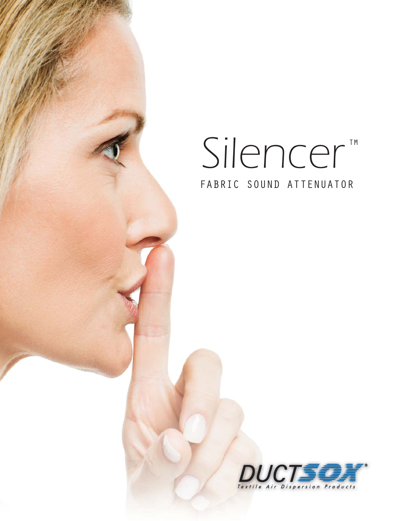# Silencer<sup>IM</sup> FABRIC SOUND ATTENUATOR

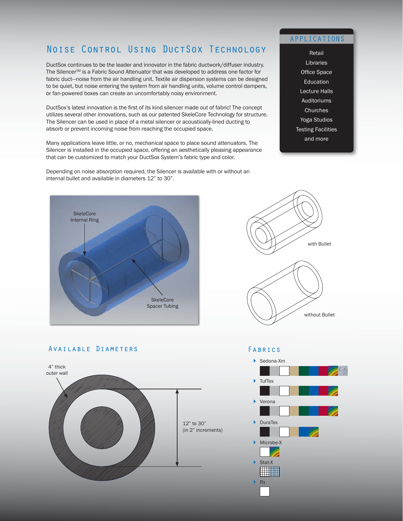## Noise Control Using DuctSox Technology

DuctSox continues to be the leader and innovator in the fabric ductwork/diffuser industry. The Silencer<sup>™</sup> is a Fabric Sound Attenuator that was developed to address one factor for fabric duct—noise from the air handling unit. Textile air dispersion systems can be designed to be quiet, but noise entering the system from air handling units, volume control dampers, or fan-powered boxes can create an uncomfortably noisy environment.

DuctSox's latest innovation is the first of its kind silencer made out of fabric! The concept utilizes several other innovations, such as our patented SkeleCore Technology for structure. The Silencer can be used in place of a metal silencer or acoustically-lined ducting to absorb or prevent incoming noise from reaching the occupied space.

Many applications leave little, or no, mechanical space to place sound attenuators. The Silencer is installed in the occupied space, offering an aesthetically pleasing appearance that can be customized to match your DuctSox System's fabric type and color.

Depending on noise absorption required, the Silencer is available with or without an internal bullet and available in diameters 12" to 30".

## APPLICATIONS

Retail **Libraries** Office Space Education Lecture Halls Auditoriums **Churches** Yoga Studios Testing Facilities and more





#### Available Diameters



#### Fabrics

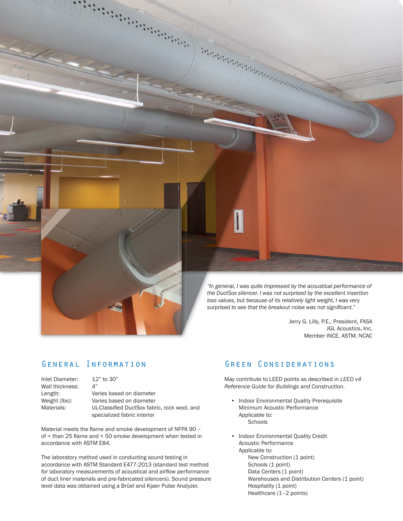

Jerry G. Lilly, P.E., President, FASA JGL Acoustics, Inc, Member INCE, ASTM, NCAC

## General Information

| Inlet Diameter: | $12"$ to 30"                                 |
|-----------------|----------------------------------------------|
| Wall thickness: | 4"                                           |
| Length:         | Varies based on diameter                     |
| Weight (lbs):   | Varies based on diameter                     |
| Materials:      | UL-Classified DuctSox fabric, rock wool, and |
|                 | specialized fabric interior                  |

Material meets the flame and smoke development of NFPA 90 of  $\le$  than 25 flame and  $\le$  50 smoke development when tested in accordance with ASTM E84.

The laboratory method used in conducting sound testing in accordance with ASTM Standard E477-2013 (standard test method for laboratory measurements of acoustical and airflow performance of duct liner materials and pre-fabricated silencers). Sound pressure level data was obtained using a Brüel and Kjaer Pulse Analyzer.

## Green Considerations

May contribute to LEED points as described in *LEED v4 Reference Guide for Buildings and Construction.*

- Indoor Environmental Quality Prerequisite Minimum Acoustic Performance Applicable to: **Schools**
- Indoor Environmental Quality Credit Acoustic Performance Applicable to: New Construction (1 point) Schools (1 point) Data Centers (1 point) Warehouses and Distribution Centers (1 point) Hospitality (1 point) Healthcare (1–2 points)